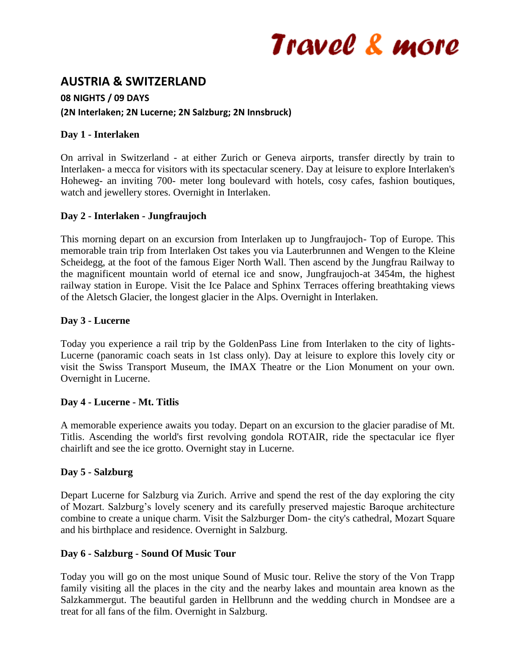# Travel & more

## **AUSTRIA & SWITZERLAND**

#### **08 NIGHTS / 09 DAYS**

#### **(2N Interlaken; 2N Lucerne; 2N Salzburg; 2N Innsbruck)**

#### **Day 1 - Interlaken**

On arrival in Switzerland - at either Zurich or Geneva airports, transfer directly by train to Interlaken- a mecca for visitors with its spectacular scenery. Day at leisure to explore Interlaken's Hoheweg- an inviting 700- meter long boulevard with hotels, cosy cafes, fashion boutiques, watch and jewellery stores. Overnight in Interlaken.

#### **Day 2 - Interlaken - Jungfraujoch**

This morning depart on an excursion from Interlaken up to Jungfraujoch- Top of Europe. This memorable train trip from Interlaken Ost takes you via Lauterbrunnen and Wengen to the Kleine Scheidegg, at the foot of the famous Eiger North Wall. Then ascend by the Jungfrau Railway to the magnificent mountain world of eternal ice and snow, Jungfraujoch-at 3454m, the highest railway station in Europe. Visit the Ice Palace and Sphinx Terraces offering breathtaking views of the Aletsch Glacier, the longest glacier in the Alps. Overnight in Interlaken.

#### **Day 3 - Lucerne**

Today you experience a rail trip by the GoldenPass Line from Interlaken to the city of lights-Lucerne (panoramic coach seats in 1st class only). Day at leisure to explore this lovely city or visit the Swiss Transport Museum, the IMAX Theatre or the Lion Monument on your own. Overnight in Lucerne.

#### **Day 4 - Lucerne - Mt. Titlis**

A memorable experience awaits you today. Depart on an excursion to the glacier paradise of Mt. Titlis. Ascending the world's first revolving gondola ROTAIR, ride the spectacular ice flyer chairlift and see the ice grotto. Overnight stay in Lucerne.

### **Day 5 - Salzburg**

Depart Lucerne for Salzburg via Zurich. Arrive and spend the rest of the day exploring the city of Mozart. Salzburg's lovely scenery and its carefully preserved majestic Baroque architecture combine to create a unique charm. Visit the Salzburger Dom- the city's cathedral, Mozart Square and his birthplace and residence. Overnight in Salzburg.

#### **Day 6 - Salzburg - Sound Of Music Tour**

Today you will go on the most unique Sound of Music tour. Relive the story of the Von Trapp family visiting all the places in the city and the nearby lakes and mountain area known as the Salzkammergut. The beautiful garden in Hellbrunn and the wedding church in Mondsee are a treat for all fans of the film. Overnight in Salzburg.